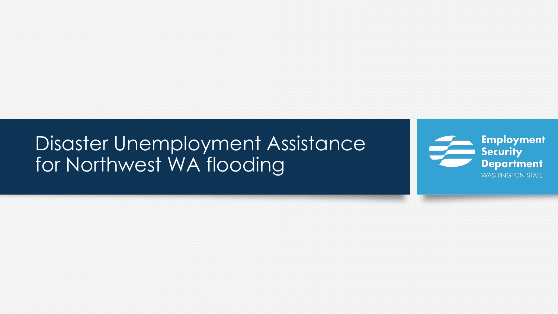### Disaster Unemployment Assistance for Northwest WA flooding

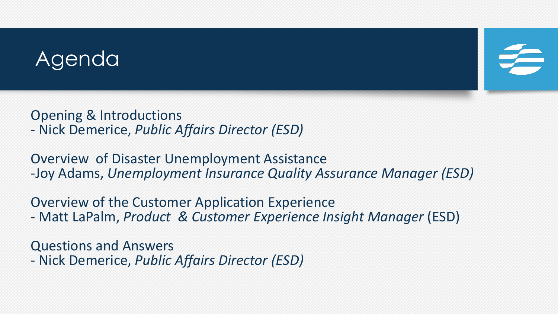### Agenda

Opening & Introductions - Nick Demerice, *Public Affairs Director (ESD)*

Overview of Disaster Unemployment Assistance -Joy Adams, *Unemployment Insurance Quality Assurance Manager (ESD)*

Overview of the Customer Application Experience - Matt LaPalm, *Product & Customer Experience Insight Manager* (ESD)

Questions and Answers - Nick Demerice, *Public Affairs Director (ESD)*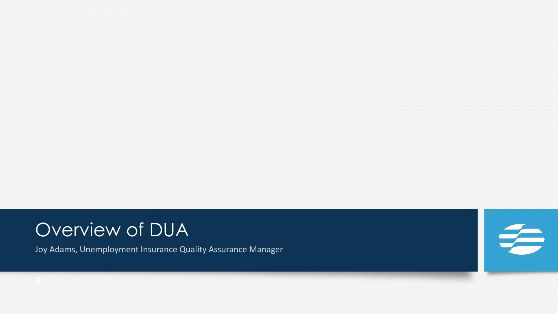### Overview of DUA

Joy Adams, Unemployment Insurance Quality Assurance Manager

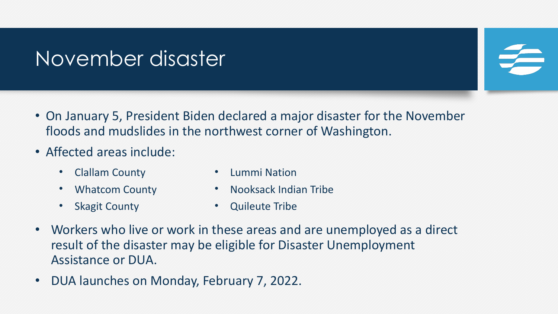### November disaster

- On January 5, President Biden declared a major disaster for the November floods and mudslides in the northwest corner of Washington.
- Affected areas include:
	- Clallam County

• Lummi Nation

• Whatcom County

• Nooksack Indian Tribe

**Skagit County** 

- **Quileute Tribe**
- Workers who live or work in these areas and are unemployed as a direct result of the disaster may be eligible for Disaster Unemployment Assistance or DUA.
- DUA launches on Monday, February 7, 2022.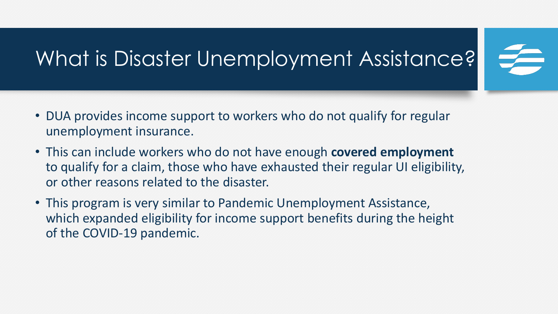# What is Disaster Unemployment Assistance?

- DUA provides income support to workers who do not qualify for regular unemployment insurance.
- This can include workers who do not have enough **covered employment** to qualify for a claim, those who have exhausted their regular UI eligibility, or other reasons related to the disaster.
- This program is very similar to Pandemic Unemployment Assistance, which expanded eligibility for income support benefits during the height of the COVID-19 pandemic.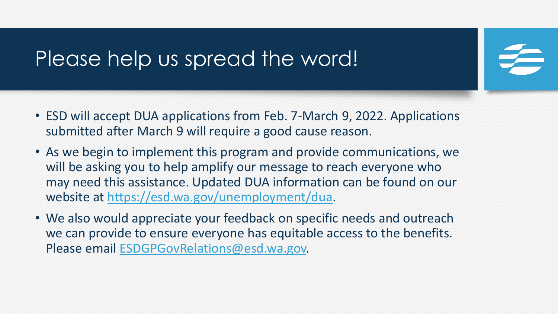### Please help us spread the word!

- ESD will accept DUA applications from Feb. 7-March 9, 2022. Applications submitted after March 9 will require a good cause reason.
- As we begin to implement this program and provide communications, we will be asking you to help amplify our message to reach everyone who may need this assistance. Updated DUA information can be found on our website at <https://esd.wa.gov/unemployment/dua>.
- We also would appreciate your feedback on specific needs and outreach we can provide to ensure everyone has equitable access to the benefits. Please email [ESDGPGovRelations@esd.wa.gov.](mailto:ESDGPGovRelations@esd.wa.gov)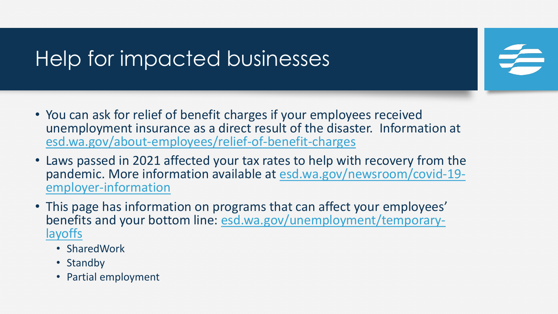## Help for impacted businesses

- You can ask for relief of benefit charges if your employees received unemployment insurance as a direct result of the disaster. Information at [esd.wa.gov/about-employees/relief-of-benefit-charges](https://esd.wa.gov/about-employees/relief-of-benefit-charges)
- Laws passed in 2021 affected your tax rates to help with recovery from the pandemic. More information available at **esd.wa.gov/newsroom/covid-19-**<br>employer-information
- This page has information on programs that can affect your employees' [benefits and your bottom line: esd.wa.gov/unemployment/temporary-](https://esd.wa.gov/unemployment/temporary-layoffs)<br>layoffs
	- SharedWork
	- Standby
	- Partial employment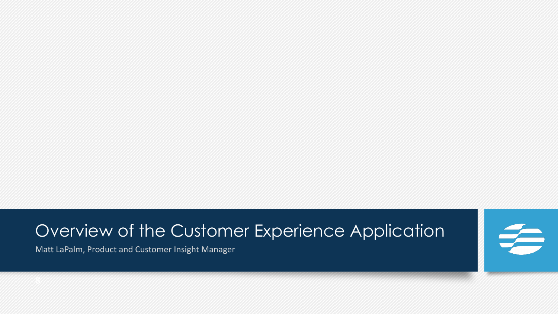### Overview of the Customer Experience Application

Matt LaPalm, Product and Customer Insight Manager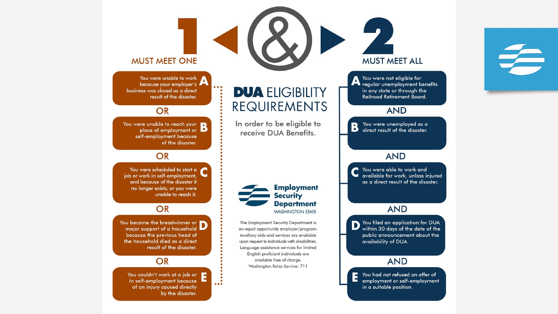



You were unable to work because your employer's business was closed as a direct result of the disaster.

#### **OR**

You were unable to reach your place of employment or D self-employment because of the disaster.

#### OR

You were scheduled to start a job or work in self-employment, and because of the disaster it no longer exists, or you were unable to reach it.

#### **OR**

You became the breadwinner or  $\Box$ because the previous head of the household died as a direct result of the disaster.

#### **OR**

You couldn't work at a job or in self-employment because of an injury caused directly by the disaster.

 $\ddot{\cdot}$ 

### **DUA ELIGIBILITY** REQUIREMENTS

In order to be eligible to receive DUA Benefits.

**Security** 

The Employment Security Department is an equal opportunity employer/program. Auxiliary aids and services are available upon request to individuals with disabilities. Language assistance services for limited English proficient individuals are available free of charge.

### **Employment Department WASHINGTON STATE**

Washington Relay Service: 711

**AND** You filed an application for DUA you filed an applicance of the within 30 days of the date of the public announcement about the availability of DUA.

**MUST MEET ALL** 

You were not eligible for The verte non-engineers of the regular unemployment benefits

in any state or through the Railroad Retirement Board.

**AND** 

You were unemployed as a

direct result of the disaster.

**AND** 

You were able to work and

available for work, unless injured

as a direct result of the disaster.

 $\overline{\mathbf{B}}$ 

#### **AND**

You had not refused an offer of employment or self-employment in a suitable position.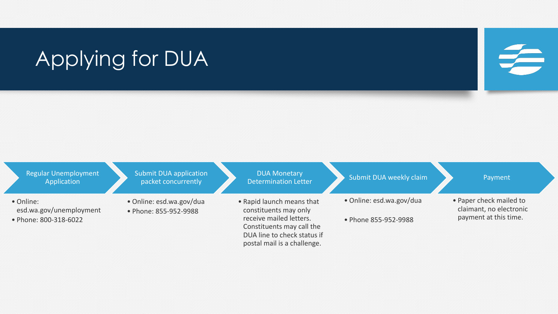# Applying for DUA

#### Regular Unemployment **Application** • Online: esd.wa.gov/unemployment • Phone: 800-318-6022 Submit DUA application packet concurrently • Online: esd.wa.gov/dua • Phone: 855-952-9988 DUA Monetary Determination Letter • Rapid launch means that constituents may only receive mailed letters. Constituents may call the DUA line to check status if Submit DUA weekly claim • Online: esd.wa.gov/dua • Phone 855-952-9988 Payment • Paper check mailed to claimant, no electronic payment at this time.

postal mail is a challenge.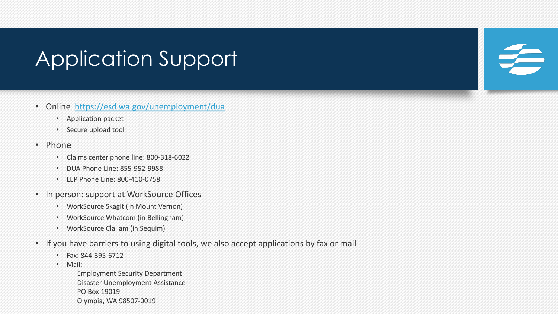### Application Support

- Online <https://esd.wa.gov/unemployment/dua>
	- Application packet
	- Secure upload tool
- Phone
	- Claims center phone line: 800-318-6022
	- DUA Phone Line: 855-952-9988
	- LEP Phone Line: 800-410-0758
- In person: support at WorkSource Offices
	- WorkSource Skagit (in Mount Vernon)
	- WorkSource Whatcom (in Bellingham)
	- WorkSource Clallam (in Sequim)
- If you have barriers to using digital tools, we also accept applications by fax or mail
	- Fax: 844-395-6712
	- Mail:
		- Employment Security Department Disaster Unemployment Assistance PO Box 19019 Olympia, WA 98507-0019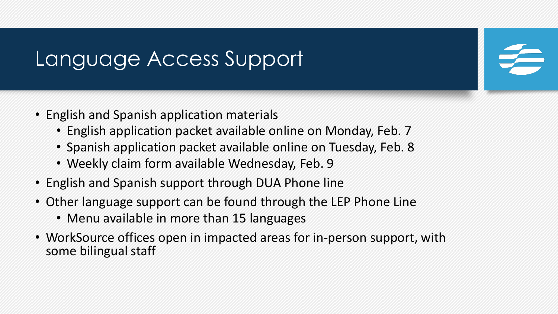### Language Access Support

- English and Spanish application materials
	- English application packet available online on Monday, Feb. 7
	- Spanish application packet available online on Tuesday, Feb. 8
	- Weekly claim form available Wednesday, Feb. 9
- English and Spanish support through DUA Phone line
- Other language support can be found through the LEP Phone Line
	- Menu available in more than 15 languages
- WorkSource offices open in impacted areas for in-person support, with some bilingual staff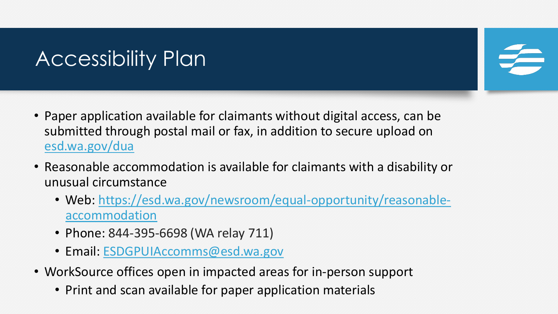# Accessibility Plan

- Paper application available for claimants without digital access, can be submitted through postal mail or fax, in addition to secure upload on [esd.wa.gov/dua](http://esd.wa.gov/dua)
- Reasonable accommodation is available for claimants with a disability or unusual circumstance
	- Web: [https://esd.wa.gov/newsroom/equal-opportunity/reasonable](https://esd.wa.gov/newsroom/equal-opportunity/reasonable-accommodation)accommodation
	- Phone: 844-395-6698 (WA relay 711)
	- Email: [ESDGPUIAccomms@esd.wa.gov](mailto:ESDGPUIAccomms@esd.wa.gov)
- WorkSource offices open in impacted areas for in-person support
	- Print and scan available for paper application materials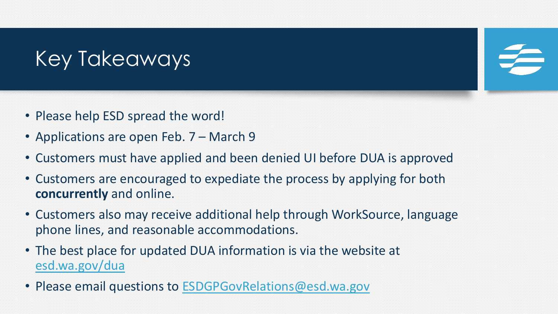# Key Takeaways

- Please help ESD spread the word!
- Applications are open Feb. 7 March 9
- Customers must have applied and been denied UI before DUA is approved
- Customers are encouraged to expediate the process by applying for both **concurrently** and online.
- Customers also may receive additional help through WorkSource, language phone lines, and reasonable accommodations.
- The best place for updated DUA information is via the website at [esd.wa.gov/dua](http://esd.wa.gov/dua)
- Please email questions to [ESDGPGovRelations@esd.wa.gov](mailto:ESDGPGovRelations@esd.wa.gov)